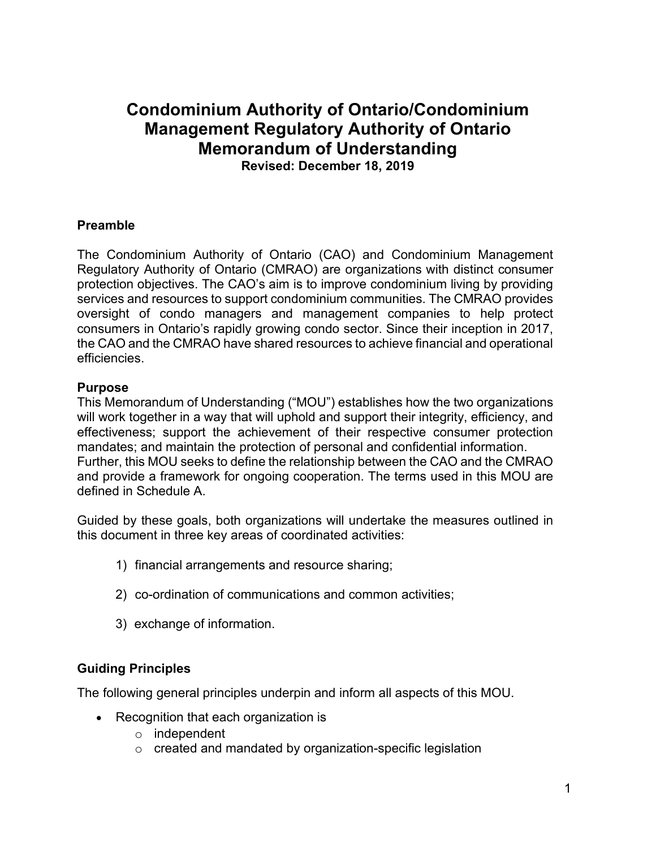# **Condominium Authority of Ontario/Condominium Management Regulatory Authority of Ontario Memorandum of Understanding**

**Revised: December 18, 2019**

#### **Preamble**

The Condominium Authority of Ontario (CAO) and Condominium Management Regulatory Authority of Ontario (CMRAO) are organizations with distinct consumer protection objectives. The CAO's aim is to improve condominium living by providing services and resources to support condominium communities. The CMRAO provides oversight of condo managers and management companies to help protect consumers in Ontario's rapidly growing condo sector. Since their inception in 2017, the CAO and the CMRAO have shared resources to achieve financial and operational efficiencies.

#### **Purpose**

This Memorandum of Understanding ("MOU") establishes how the two organizations will work together in a way that will uphold and support their integrity, efficiency, and effectiveness; support the achievement of their respective consumer protection mandates; and maintain the protection of personal and confidential information. Further, this MOU seeks to define the relationship between the CAO and the CMRAO and provide a framework for ongoing cooperation. The terms used in this MOU are defined in Schedule A.

Guided by these goals, both organizations will undertake the measures outlined in this document in three key areas of coordinated activities:

- 1) financial arrangements and resource sharing;
- 2) co-ordination of communications and common activities;
- 3) exchange of information.

## **Guiding Principles**

The following general principles underpin and inform all aspects of this MOU.

- Recognition that each organization is
	- o independent
	- o created and mandated by organization-specific legislation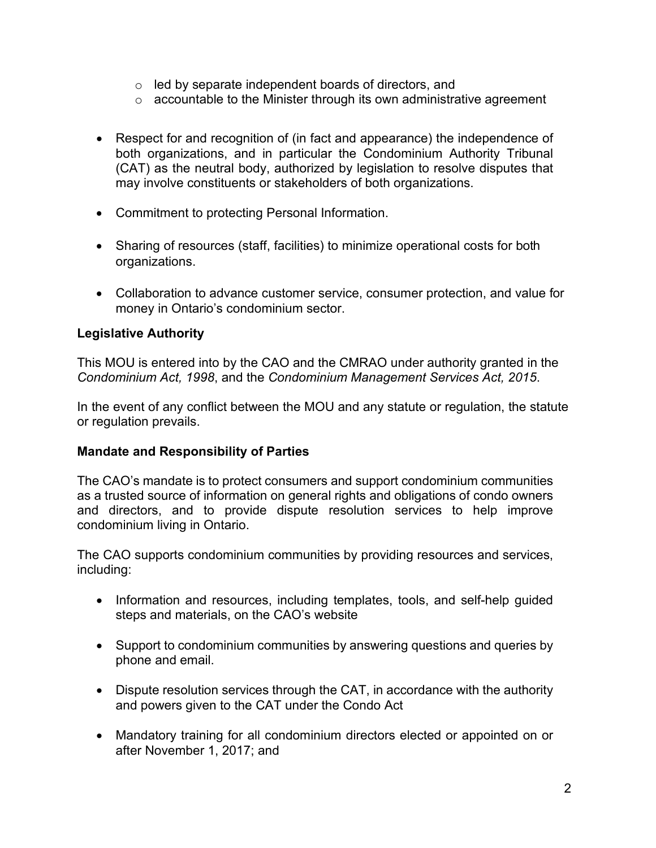- o led by separate independent boards of directors, and
- o accountable to the Minister through its own administrative agreement
- Respect for and recognition of (in fact and appearance) the independence of both organizations, and in particular the Condominium Authority Tribunal (CAT) as the neutral body, authorized by legislation to resolve disputes that may involve constituents or stakeholders of both organizations.
- Commitment to protecting Personal Information.
- Sharing of resources (staff, facilities) to minimize operational costs for both organizations.
- Collaboration to advance customer service, consumer protection, and value for money in Ontario's condominium sector.

## **Legislative Authority**

This MOU is entered into by the CAO and the CMRAO under authority granted in the *Condominium Act, 1998*, and the *Condominium Management Services Act, 2015*.

In the event of any conflict between the MOU and any statute or regulation, the statute or regulation prevails.

## **Mandate and Responsibility of Parties**

The CAO's mandate is to protect consumers and support condominium communities as a trusted source of information on general rights and obligations of condo owners and directors, and to provide dispute resolution services to help improve condominium living in Ontario.

The CAO supports condominium communities by providing resources and services, including:

- Information and resources, including templates, tools, and self-help guided steps and materials, on the CAO's website
- Support to condominium communities by answering questions and queries by phone and email.
- Dispute resolution services through the CAT, in accordance with the authority and powers given to the CAT under the Condo Act
- Mandatory training for all condominium directors elected or appointed on or after November 1, 2017; and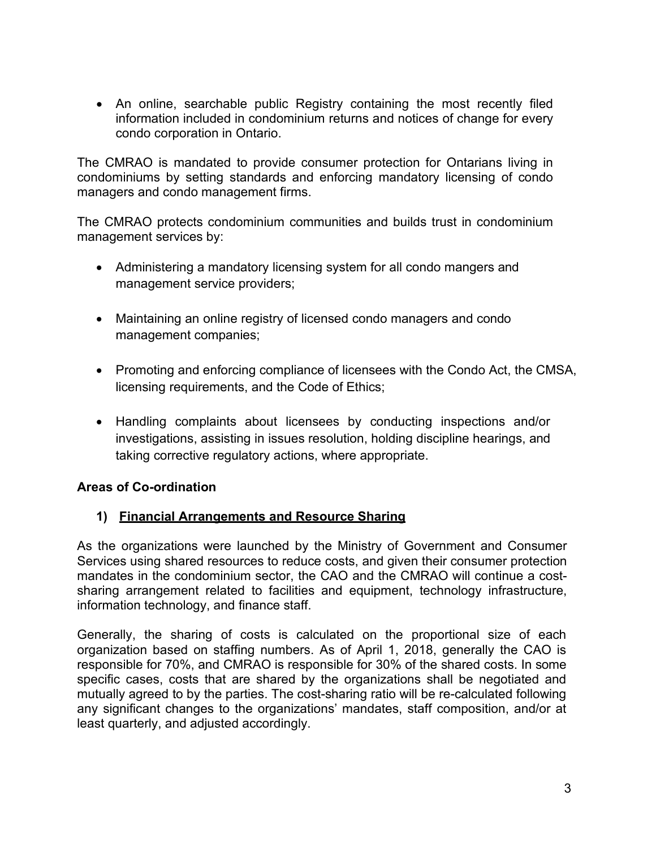• An online, searchable public Registry containing the most recently filed information included in condominium returns and notices of change for every condo corporation in Ontario.

The CMRAO is mandated to provide consumer protection for Ontarians living in condominiums by setting standards and enforcing mandatory licensing of condo managers and condo management firms.

The CMRAO protects condominium communities and builds trust in condominium management services by:

- Administering a mandatory licensing system for all condo mangers and management service providers;
- Maintaining an online registry of licensed condo managers and condo management companies;
- Promoting and enforcing compliance of licensees with the Condo Act, the CMSA, licensing requirements, and the Code of Ethics;
- Handling complaints about licensees by conducting inspections and/or investigations, assisting in issues resolution, holding discipline hearings, and taking corrective regulatory actions, where appropriate.

## **Areas of Co-ordination**

## **1) Financial Arrangements and Resource Sharing**

As the organizations were launched by the Ministry of Government and Consumer Services using shared resources to reduce costs, and given their consumer protection mandates in the condominium sector, the CAO and the CMRAO will continue a costsharing arrangement related to facilities and equipment, technology infrastructure, information technology, and finance staff.

Generally, the sharing of costs is calculated on the proportional size of each organization based on staffing numbers. As of April 1, 2018, generally the CAO is responsible for 70%, and CMRAO is responsible for 30% of the shared costs. In some specific cases, costs that are shared by the organizations shall be negotiated and mutually agreed to by the parties. The cost-sharing ratio will be re-calculated following any significant changes to the organizations' mandates, staff composition, and/or at least quarterly, and adjusted accordingly.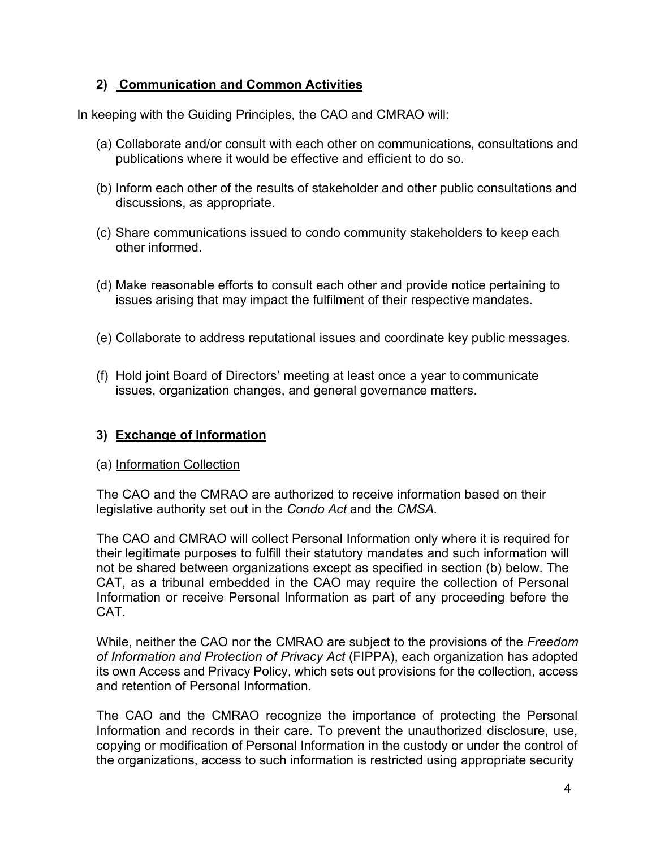## **2) Communication and Common Activities**

In keeping with the Guiding Principles, the CAO and CMRAO will:

- (a) Collaborate and/or consult with each other on communications, consultations and publications where it would be effective and efficient to do so.
- (b) Inform each other of the results of stakeholder and other public consultations and discussions, as appropriate.
- (c) Share communications issued to condo community stakeholders to keep each other informed.
- (d) Make reasonable efforts to consult each other and provide notice pertaining to issues arising that may impact the fulfilment of their respective mandates.
- (e) Collaborate to address reputational issues and coordinate key public messages.
- (f) Hold joint Board of Directors' meeting at least once a year to communicate issues, organization changes, and general governance matters.

## **3) Exchange of Information**

## (a) Information Collection

The CAO and the CMRAO are authorized to receive information based on their legislative authority set out in the *Condo Act* and the *CMSA.*

The CAO and CMRAO will collect Personal Information only where it is required for their legitimate purposes to fulfill their statutory mandates and such information will not be shared between organizations except as specified in section (b) below. The CAT, as a tribunal embedded in the CAO may require the collection of Personal Information or receive Personal Information as part of any proceeding before the CAT.

While, neither the CAO nor the CMRAO are subject to the provisions of the *Freedom of Information and Protection of Privacy Act* (FIPPA), each organization has adopted its own Access and Privacy Policy, which sets out provisions for the collection, access and retention of Personal Information.

The CAO and the CMRAO recognize the importance of protecting the Personal Information and records in their care. To prevent the unauthorized disclosure, use, copying or modification of Personal Information in the custody or under the control of the organizations, access to such information is restricted using appropriate security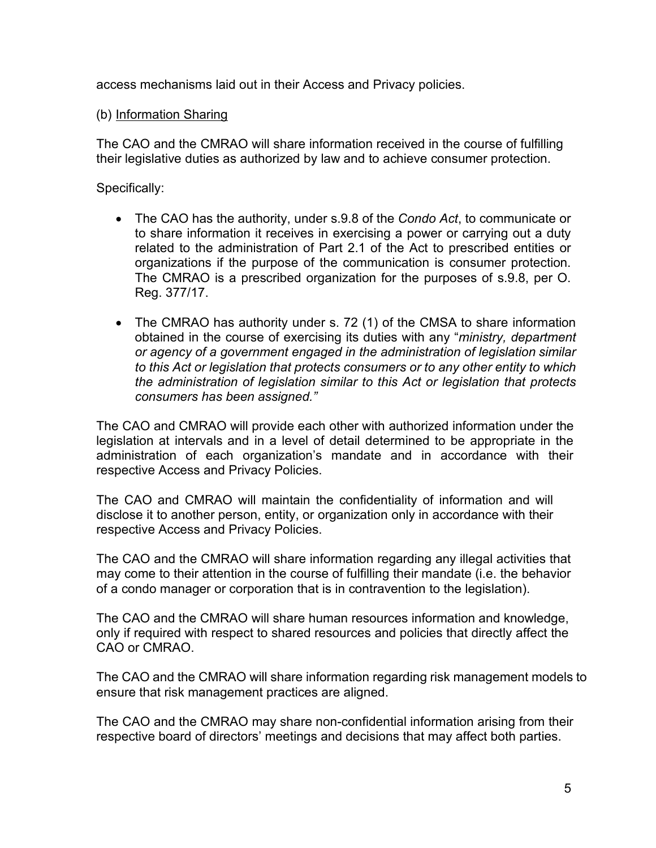access mechanisms laid out in their Access and Privacy policies.

## (b) Information Sharing

The CAO and the CMRAO will share information received in the course of fulfilling their legislative duties as authorized by law and to achieve consumer protection.

Specifically:

- The CAO has the authority, under s.9.8 of the *Condo Act*, to communicate or to share information it receives in exercising a power or carrying out a duty related to the administration of Part 2.1 of the Act to prescribed entities or organizations if the purpose of the communication is consumer protection. The CMRAO is a prescribed organization for the purposes of s.9.8, per O. Reg. 377/17.
- The CMRAO has authority under s. 72 (1) of the CMSA to share information obtained in the course of exercising its duties with any "*ministry, department or agency of a government engaged in the administration of legislation similar to this Act or legislation that protects consumers or to any other entity to which the administration of legislation similar to this Act or legislation that protects consumers has been assigned."*

The CAO and CMRAO will provide each other with authorized information under the legislation at intervals and in a level of detail determined to be appropriate in the administration of each organization's mandate and in accordance with their respective Access and Privacy Policies.

The CAO and CMRAO will maintain the confidentiality of information and will disclose it to another person, entity, or organization only in accordance with their respective Access and Privacy Policies.

The CAO and the CMRAO will share information regarding any illegal activities that may come to their attention in the course of fulfilling their mandate (i.e. the behavior of a condo manager or corporation that is in contravention to the legislation).

The CAO and the CMRAO will share human resources information and knowledge, only if required with respect to shared resources and policies that directly affect the CAO or CMRAO.

The CAO and the CMRAO will share information regarding risk management models to ensure that risk management practices are aligned.

The CAO and the CMRAO may share non-confidential information arising from their respective board of directors' meetings and decisions that may affect both parties.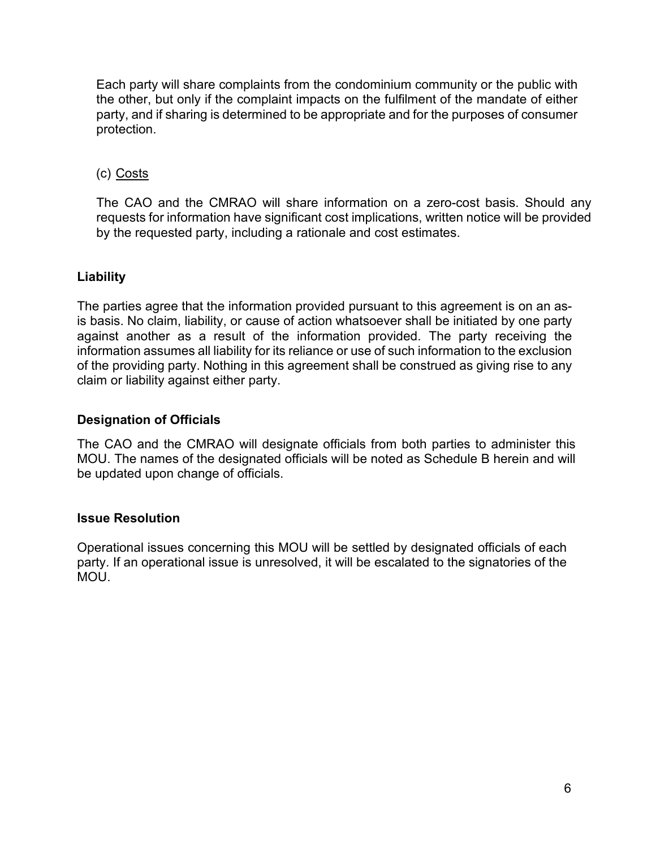Each party will share complaints from the condominium community or the public with the other, but only if the complaint impacts on the fulfilment of the mandate of either party, and if sharing is determined to be appropriate and for the purposes of consumer protection.

## (c) Costs

The CAO and the CMRAO will share information on a zero-cost basis. Should any requests for information have significant cost implications, written notice will be provided by the requested party, including a rationale and cost estimates.

## **Liability**

The parties agree that the information provided pursuant to this agreement is on an asis basis. No claim, liability, or cause of action whatsoever shall be initiated by one party against another as a result of the information provided. The party receiving the information assumes all liability for its reliance or use of such information to the exclusion of the providing party. Nothing in this agreement shall be construed as giving rise to any claim or liability against either party.

## **Designation of Officials**

The CAO and the CMRAO will designate officials from both parties to administer this MOU. The names of the designated officials will be noted as Schedule B herein and will be updated upon change of officials.

#### **Issue Resolution**

Operational issues concerning this MOU will be settled by designated officials of each party. If an operational issue is unresolved, it will be escalated to the signatories of the MOU.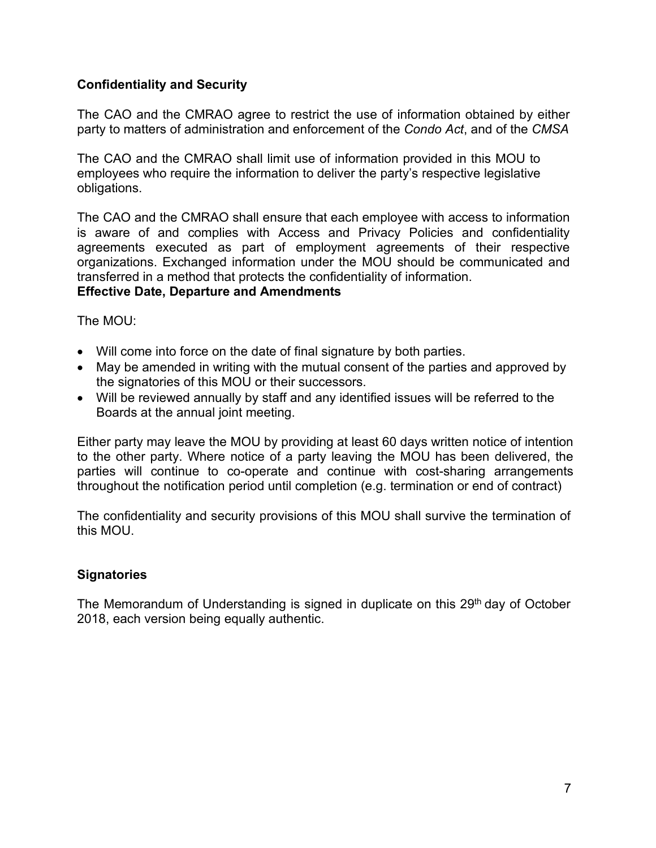## **Confidentiality and Security**

The CAO and the CMRAO agree to restrict the use of information obtained by either party to matters of administration and enforcement of the *Condo Act*, and of the *CMSA*

The CAO and the CMRAO shall limit use of information provided in this MOU to employees who require the information to deliver the party's respective legislative obligations.

The CAO and the CMRAO shall ensure that each employee with access to information is aware of and complies with Access and Privacy Policies and confidentiality agreements executed as part of employment agreements of their respective organizations. Exchanged information under the MOU should be communicated and transferred in a method that protects the confidentiality of information.

## **Effective Date, Departure and Amendments**

The MOU:

- Will come into force on the date of final signature by both parties.
- May be amended in writing with the mutual consent of the parties and approved by the signatories of this MOU or their successors.
- Will be reviewed annually by staff and any identified issues will be referred to the Boards at the annual joint meeting.

Either party may leave the MOU by providing at least 60 days written notice of intention to the other party. Where notice of a party leaving the MOU has been delivered, the parties will continue to co-operate and continue with cost-sharing arrangements throughout the notification period until completion (e.g. termination or end of contract)

The confidentiality and security provisions of this MOU shall survive the termination of this MOU.

## **Signatories**

The Memorandum of Understanding is signed in duplicate on this  $29<sup>th</sup>$  day of October 2018, each version being equally authentic.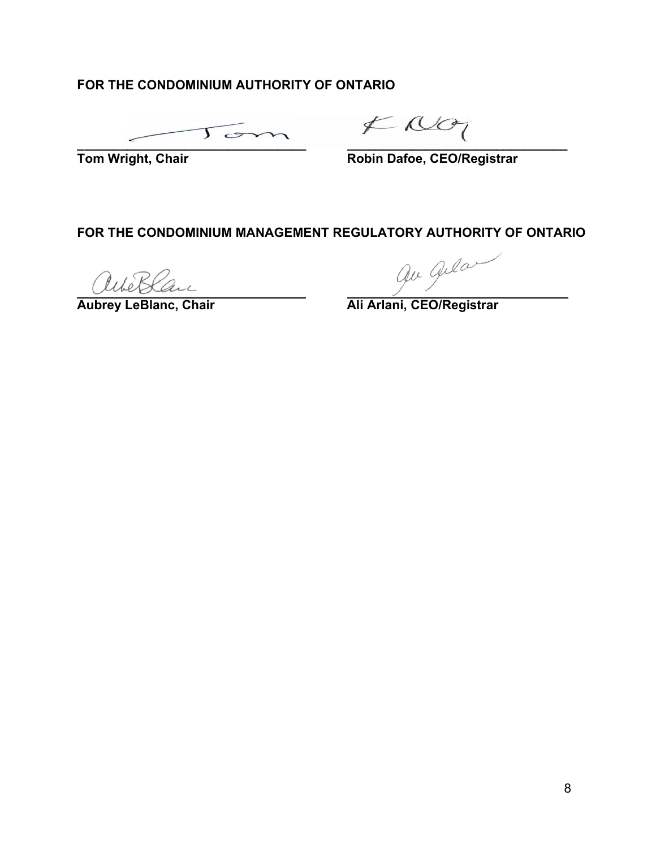## **OR THE CONDOMINIUM AUTHORITY OF ONTARIO F**

**\_\_\_\_\_\_\_\_\_\_\_\_\_\_\_\_\_\_\_\_\_\_\_\_\_\_\_\_\_\_\_ \_\_\_\_\_\_\_\_\_\_\_\_\_\_\_\_\_\_\_\_\_\_\_\_\_\_\_\_\_\_\_**

**Tom Wright, Chair** 

**Tom Wright, Chair Robin Dafoe, CEO/Registrar**

## **FOR THE CONDOMINIUM MANAGEMENT REGULATORY AUTHORITY OF ONTARIO**

Wollan

aubrey LeBlanc, Chair<br> **Aubrey LeBlanc, Chair Ali Arlani, CEO/Registrar**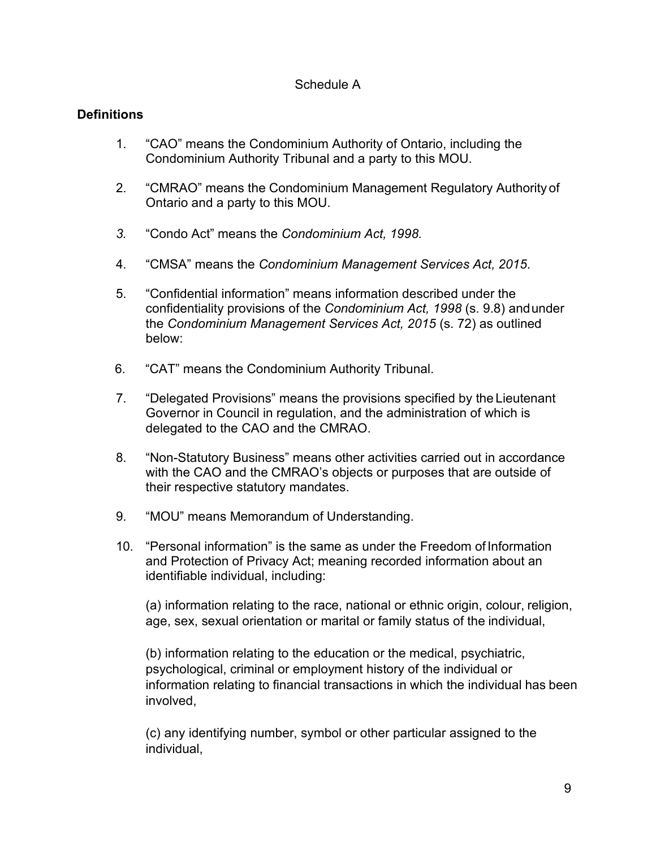#### Schedule A

## **Definitions**

- 1. "CAO" means the Condominium Authority of Ontario, including the Condominium Authority Tribunal and a party to this MOU.
- 2. "CMRAO" means the Condominium Management Regulatory Authority of Ontario and a party to this MOU.
- *3.* "Condo Act" means the *Condominium Act, 1998.*
- 4. "CMSA" means the *Condominium Management Services Act, 2015*.
- 5. "Confidential information" means information described under the confidentiality provisions of the *Condominium Act, 1998* (s. 9.8) andunder the *Condominium Management Services Act, 2015* (s. 72) as outlined below:
- 6. "CAT" means the Condominium Authority Tribunal.
- 7. "Delegated Provisions" means the provisions specified by the Lieutenant Governor in Council in regulation, and the administration of which is delegated to the CAO and the CMRAO.
- 8. "Non-Statutory Business" means other activities carried out in accordance with the CAO and the CMRAO's objects or purposes that are outside of their respective statutory mandates.
- 9. "MOU" means Memorandum of Understanding.
- 10. "Personal information" is the same as under the Freedom ofInformation and Protection of Privacy Act; meaning recorded information about an identifiable individual, including:

(a) information relating to the race, national or ethnic origin, colour, religion, age, sex, sexual orientation or marital or family status of the individual,

(b) information relating to the education or the medical, psychiatric, psychological, criminal or employment history of the individual or information relating to financial transactions in which the individual has been involved,

(c) any identifying number, symbol or other particular assigned to the individual,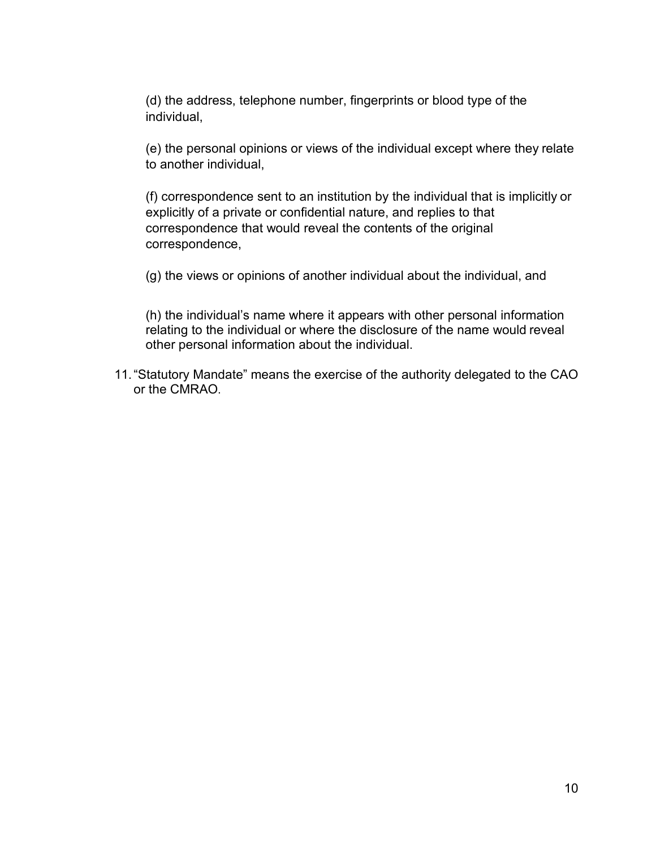(d) the address, telephone number, fingerprints or blood type of the individual,

(e) the personal opinions or views of the individual except where they relate to another individual,

(f) correspondence sent to an institution by the individual that is implicitly or explicitly of a private or confidential nature, and replies to that correspondence that would reveal the contents of the original correspondence,

(g) the views or opinions of another individual about the individual, and

(h) the individual's name where it appears with other personal information relating to the individual or where the disclosure of the name would reveal other personal information about the individual.

11."Statutory Mandate" means the exercise of the authority delegated to the CAO or the CMRAO.